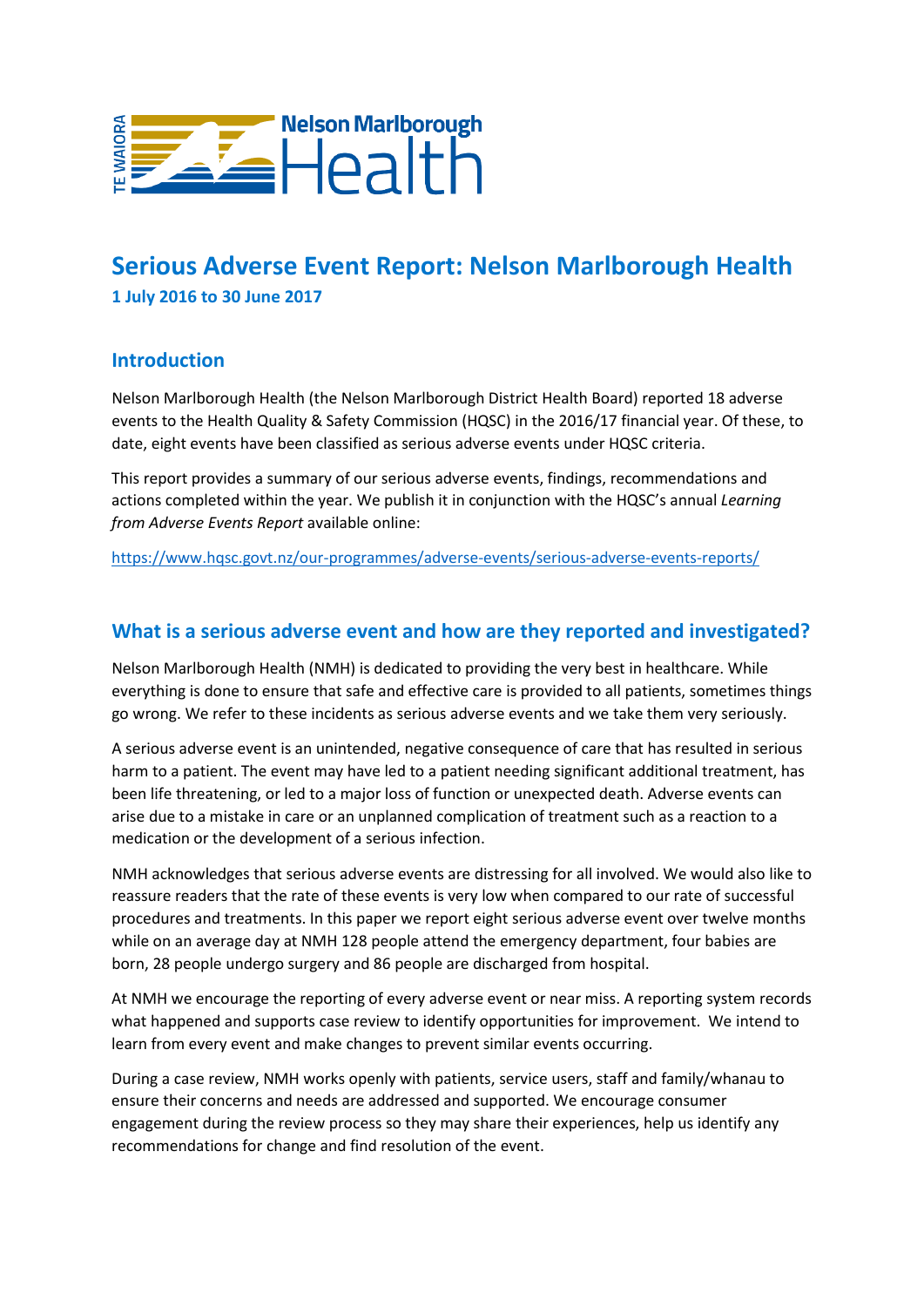

# **Serious Adverse Event Report: Nelson Marlborough Health 1 July 2016 to 30 June 2017**

#### **Introduction**

Nelson Marlborough Health (the Nelson Marlborough District Health Board) reported 18 adverse events to the Health Quality & Safety Commission (HQSC) in the 2016/17 financial year. Of these, to date, eight events have been classified as serious adverse events under HQSC criteria.

This report provides a summary of our serious adverse events, findings, recommendations and actions completed within the year. We publish it in conjunction with the HQSC's annual *Learning from Adverse Events Report* available online:

<https://www.hqsc.govt.nz/our-programmes/adverse-events/serious-adverse-events-reports/>

### **What is a serious adverse event and how are they reported and investigated?**

Nelson Marlborough Health (NMH) is dedicated to providing the very best in healthcare. While everything is done to ensure that safe and effective care is provided to all patients, sometimes things go wrong. We refer to these incidents as serious adverse events and we take them very seriously.

A serious adverse event is an unintended, negative consequence of care that has resulted in serious harm to a patient. The event may have led to a patient needing significant additional treatment, has been life threatening, or led to a major loss of function or unexpected death. Adverse events can arise due to a mistake in care or an unplanned complication of treatment such as a reaction to a medication or the development of a serious infection.

NMH acknowledges that serious adverse events are distressing for all involved. We would also like to reassure readers that the rate of these events is very low when compared to our rate of successful procedures and treatments. In this paper we report eight serious adverse event over twelve months while on an average day at NMH 128 people attend the emergency department, four babies are born, 28 people undergo surgery and 86 people are discharged from hospital.

At NMH we encourage the reporting of every adverse event or near miss. A reporting system records what happened and supports case review to identify opportunities for improvement. We intend to learn from every event and make changes to prevent similar events occurring.

During a case review, NMH works openly with patients, service users, staff and family/whanau to ensure their concerns and needs are addressed and supported. We encourage consumer engagement during the review process so they may share their experiences, help us identify any recommendations for change and find resolution of the event.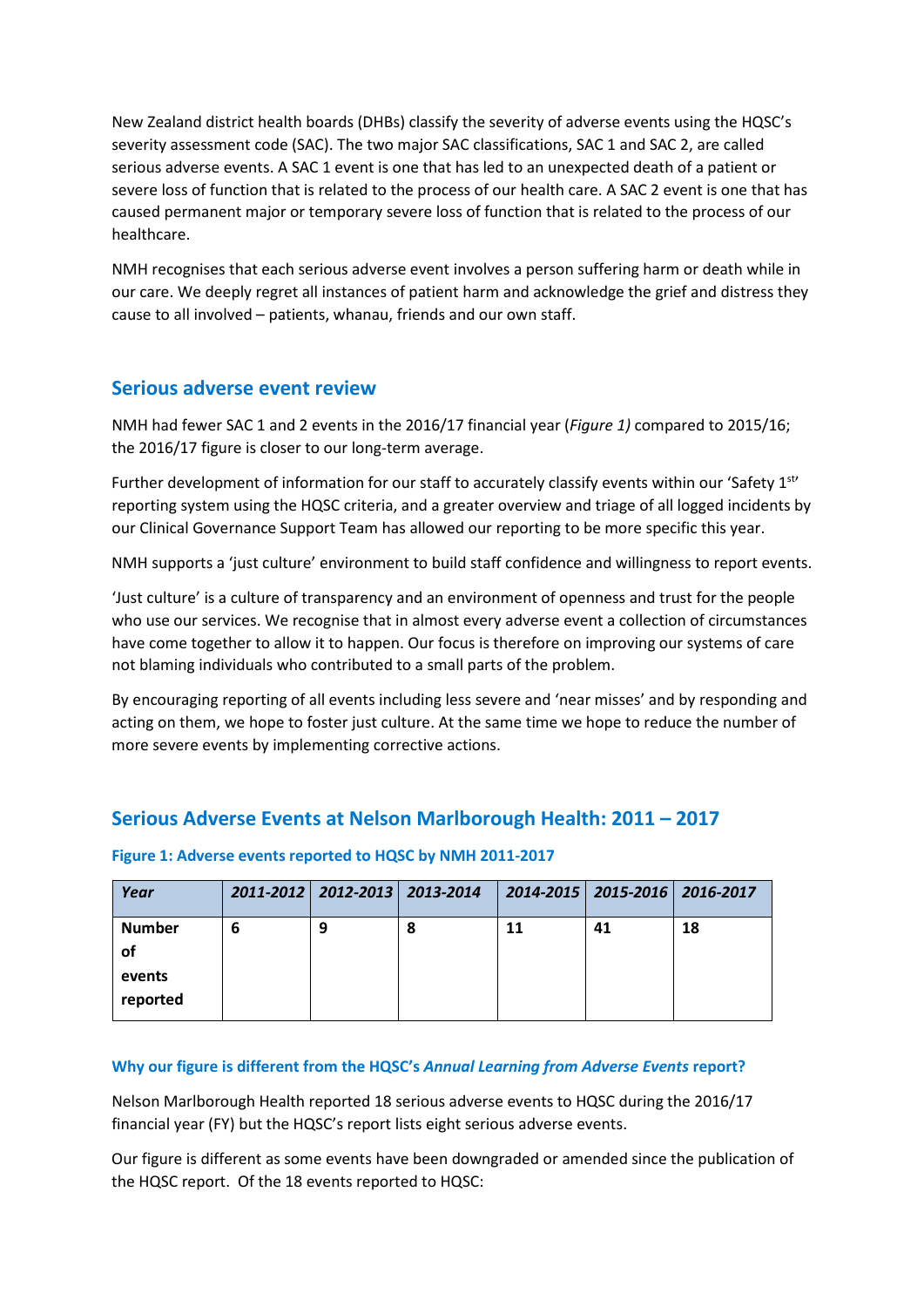New Zealand district health boards (DHBs) classify the severity of adverse events using the HQSC's severity assessment code (SAC). The two major SAC classifications, SAC 1 and SAC 2, are called serious adverse events. A SAC 1 event is one that has led to an unexpected death of a patient or severe loss of function that is related to the process of our health care. A SAC 2 event is one that has caused permanent major or temporary severe loss of function that is related to the process of our healthcare.

NMH recognises that each serious adverse event involves a person suffering harm or death while in our care. We deeply regret all instances of patient harm and acknowledge the grief and distress they cause to all involved – patients, whanau, friends and our own staff.

#### **Serious adverse event review**

NMH had fewer SAC 1 and 2 events in the 2016/17 financial year (*Figure 1)* compared to 2015/16; the 2016/17 figure is closer to our long-term average.

Further development of information for our staff to accurately classify events within our 'Safety 1st' reporting system using the HQSC criteria, and a greater overview and triage of all logged incidents by our Clinical Governance Support Team has allowed our reporting to be more specific this year.

NMH supports a 'just culture' environment to build staff confidence and willingness to report events.

'Just culture' is a culture of transparency and an environment of openness and trust for the people who use our services. We recognise that in almost every adverse event a collection of circumstances have come together to allow it to happen. Our focus is therefore on improving our systems of care not blaming individuals who contributed to a small parts of the problem.

By encouraging reporting of all events including less severe and 'near misses' and by responding and acting on them, we hope to foster just culture. At the same time we hope to reduce the number of more severe events by implementing corrective actions.

### **Serious Adverse Events at Nelson Marlborough Health: 2011 – 2017**

| Year                                      |   | 2011-2012   2012-2013   2013-2014 |   |    | 2014-2015   2015-2016   2016-2017 |    |
|-------------------------------------------|---|-----------------------------------|---|----|-----------------------------------|----|
| <b>Number</b><br>οf<br>events<br>reported | 6 | 9                                 | 8 | 11 | 41                                | 18 |

#### **Figure 1: Adverse events reported to HQSC by NMH 2011-2017**

#### **Why our figure is different from the HQSC's** *Annual Learning from Adverse Events* **report?**

Nelson Marlborough Health reported 18 serious adverse events to HQSC during the 2016/17 financial year (FY) but the HQSC's report lists eight serious adverse events.

Our figure is different as some events have been downgraded or amended since the publication of the HQSC report. Of the 18 events reported to HQSC: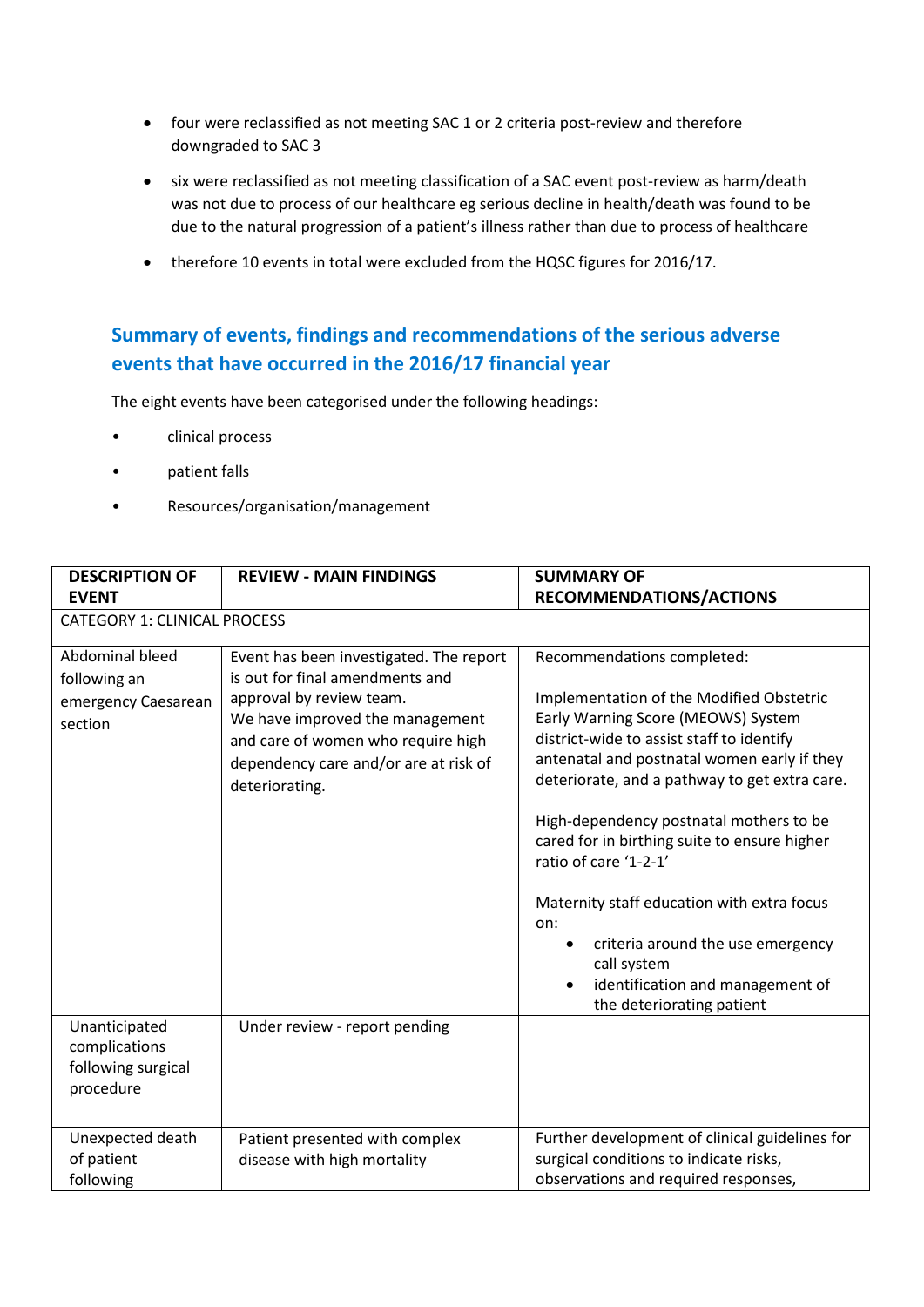- four were reclassified as not meeting SAC 1 or 2 criteria post-review and therefore downgraded to SAC 3
- six were reclassified as not meeting classification of a SAC event post-review as harm/death was not due to process of our healthcare eg serious decline in health/death was found to be due to the natural progression of a patient's illness rather than due to process of healthcare
- therefore 10 events in total were excluded from the HQSC figures for 2016/17.

## **Summary of events, findings and recommendations of the serious adverse events that have occurred in the 2016/17 financial year**

The eight events have been categorised under the following headings:

- clinical process
- patient falls
- Resources/organisation/management

| <b>DESCRIPTION OF</b><br><b>EVENT</b>                             | <b>REVIEW - MAIN FINDINGS</b>                                                                                                                                                                                                              | <b>SUMMARY OF</b><br><b>RECOMMENDATIONS/ACTIONS</b>                                                                                                                                                                                                                                                                                                                                                                                                                                                                                                     |  |  |  |  |
|-------------------------------------------------------------------|--------------------------------------------------------------------------------------------------------------------------------------------------------------------------------------------------------------------------------------------|---------------------------------------------------------------------------------------------------------------------------------------------------------------------------------------------------------------------------------------------------------------------------------------------------------------------------------------------------------------------------------------------------------------------------------------------------------------------------------------------------------------------------------------------------------|--|--|--|--|
| <b>CATEGORY 1: CLINICAL PROCESS</b>                               |                                                                                                                                                                                                                                            |                                                                                                                                                                                                                                                                                                                                                                                                                                                                                                                                                         |  |  |  |  |
| Abdominal bleed<br>following an<br>emergency Caesarean<br>section | Event has been investigated. The report<br>is out for final amendments and<br>approval by review team.<br>We have improved the management<br>and care of women who require high<br>dependency care and/or are at risk of<br>deteriorating. | Recommendations completed:<br>Implementation of the Modified Obstetric<br>Early Warning Score (MEOWS) System<br>district-wide to assist staff to identify<br>antenatal and postnatal women early if they<br>deteriorate, and a pathway to get extra care.<br>High-dependency postnatal mothers to be<br>cared for in birthing suite to ensure higher<br>ratio of care '1-2-1'<br>Maternity staff education with extra focus<br>on:<br>criteria around the use emergency<br>call system<br>identification and management of<br>the deteriorating patient |  |  |  |  |
| Unanticipated<br>complications<br>following surgical<br>procedure | Under review - report pending                                                                                                                                                                                                              |                                                                                                                                                                                                                                                                                                                                                                                                                                                                                                                                                         |  |  |  |  |
| Unexpected death<br>of patient<br>following                       | Patient presented with complex<br>disease with high mortality                                                                                                                                                                              | Further development of clinical guidelines for<br>surgical conditions to indicate risks,<br>observations and required responses,                                                                                                                                                                                                                                                                                                                                                                                                                        |  |  |  |  |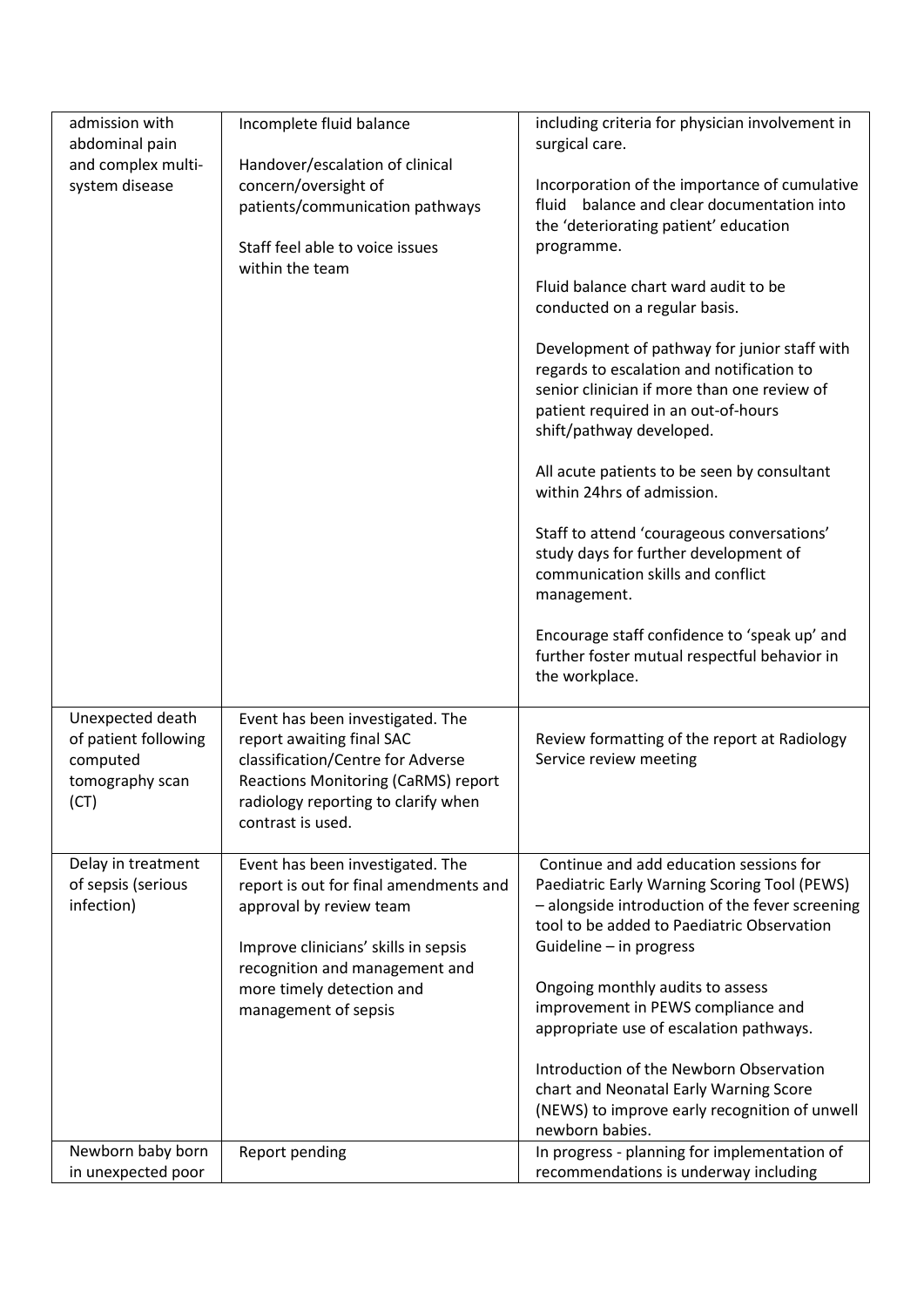| admission with                       | Incomplete fluid balance                                 | including criteria for physician involvement in |
|--------------------------------------|----------------------------------------------------------|-------------------------------------------------|
| abdominal pain<br>and complex multi- | Handover/escalation of clinical                          | surgical care.                                  |
| system disease                       | concern/oversight of                                     | Incorporation of the importance of cumulative   |
|                                      | patients/communication pathways                          | balance and clear documentation into<br>fluid   |
|                                      |                                                          | the 'deteriorating patient' education           |
|                                      | Staff feel able to voice issues                          | programme.                                      |
|                                      | within the team                                          |                                                 |
|                                      |                                                          | Fluid balance chart ward audit to be            |
|                                      |                                                          | conducted on a regular basis.                   |
|                                      |                                                          |                                                 |
|                                      |                                                          | Development of pathway for junior staff with    |
|                                      |                                                          | regards to escalation and notification to       |
|                                      |                                                          | senior clinician if more than one review of     |
|                                      |                                                          | patient required in an out-of-hours             |
|                                      |                                                          | shift/pathway developed.                        |
|                                      |                                                          | All acute patients to be seen by consultant     |
|                                      |                                                          | within 24hrs of admission.                      |
|                                      |                                                          |                                                 |
|                                      |                                                          | Staff to attend 'courageous conversations'      |
|                                      |                                                          | study days for further development of           |
|                                      |                                                          | communication skills and conflict               |
|                                      |                                                          | management.                                     |
|                                      |                                                          | Encourage staff confidence to 'speak up' and    |
|                                      |                                                          | further foster mutual respectful behavior in    |
|                                      |                                                          | the workplace.                                  |
|                                      |                                                          |                                                 |
| Unexpected death                     | Event has been investigated. The                         |                                                 |
| of patient following                 | report awaiting final SAC                                | Review formatting of the report at Radiology    |
| computed                             | classification/Centre for Adverse                        | Service review meeting                          |
| tomography scan                      | Reactions Monitoring (CaRMS) report                      |                                                 |
| (CT)                                 | radiology reporting to clarify when<br>contrast is used. |                                                 |
|                                      |                                                          |                                                 |
| Delay in treatment                   | Event has been investigated. The                         | Continue and add education sessions for         |
| of sepsis (serious                   | report is out for final amendments and                   | Paediatric Early Warning Scoring Tool (PEWS)    |
| infection)                           | approval by review team                                  | - alongside introduction of the fever screening |
|                                      |                                                          | tool to be added to Paediatric Observation      |
|                                      | Improve clinicians' skills in sepsis                     | Guideline - in progress                         |
|                                      | recognition and management and                           |                                                 |
|                                      | more timely detection and                                | Ongoing monthly audits to assess                |
|                                      | management of sepsis                                     | improvement in PEWS compliance and              |
|                                      |                                                          | appropriate use of escalation pathways.         |
|                                      |                                                          | Introduction of the Newborn Observation         |
|                                      |                                                          | chart and Neonatal Early Warning Score          |
|                                      |                                                          | (NEWS) to improve early recognition of unwell   |
|                                      |                                                          | newborn babies.                                 |
| Newborn baby born                    | Report pending                                           | In progress - planning for implementation of    |
| in unexpected poor                   |                                                          | recommendations is underway including           |